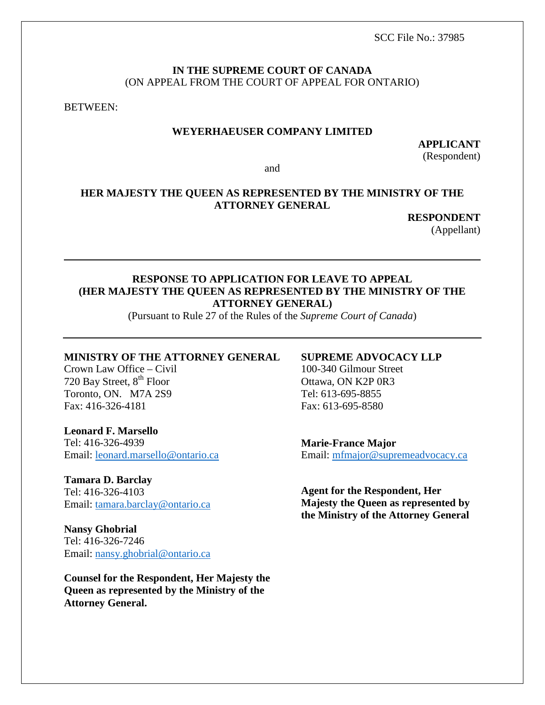SCC File No.: 37985

#### **IN THE SUPREME COURT OF CANADA** (ON APPEAL FROM THE COURT OF APPEAL FOR ONTARIO)

BETWEEN:

#### **WEYERHAEUSER COMPANY LIMITED**

**APPLICANT**  (Respondent)

and

## **HER MAJESTY THE QUEEN AS REPRESENTED BY THE MINISTRY OF THE ATTORNEY GENERAL**

**RESPONDENT** 

(Appellant)

## **RESPONSE TO APPLICATION FOR LEAVE TO APPEAL (HER MAJESTY THE QUEEN AS REPRESENTED BY THE MINISTRY OF THE ATTORNEY GENERAL)**

(Pursuant to Rule 27 of the Rules of the *Supreme Court of Canada*)

#### **MINISTRY OF THE ATTORNEY GENERAL**

Crown Law Office – Civil 720 Bay Street, 8<sup>th</sup> Floor Toronto, ON. M7A 2S9 Fax: 416-326-4181

**Leonard F. Marsello** Tel: 416-326-4939 Email: [leonard.marsello@ontario.ca](mailto:leonard.marsello@ontario.ca)

**Tamara D. Barclay** Tel: 416-326-4103 Email: [tamara.barclay@ontario.ca](mailto:tamara.barclay@ontario.ca)

**Nansy Ghobrial** Tel: 416-326-7246 Email: [nansy.ghobrial@ontario.ca](mailto:nansy.ghobrial@ontario.ca)

**Counsel for the Respondent, Her Majesty the Queen as represented by the Ministry of the Attorney General.**

### **SUPREME ADVOCACY LLP**

100-340 Gilmour Street Ottawa, ON K2P 0R3 Tel: 613-695-8855 Fax: 613-695-8580

**Marie-France Major** Email: [mfmajor@supremeadvocacy.ca](mailto:mfmajor@supremeadvocacy.ca)

**Agent for the Respondent, Her Majesty the Queen as represented by the Ministry of the Attorney General**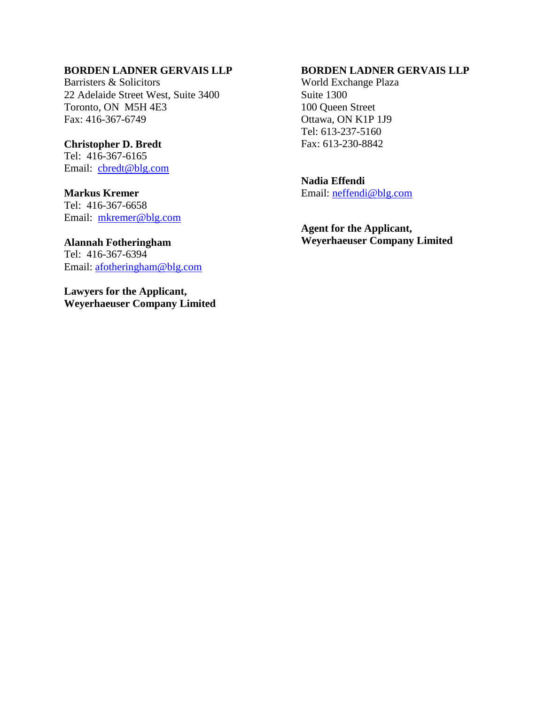### **BORDEN LADNER GERVAIS LLP**

Barristers & Solicitors 22 Adelaide Street West, Suite 3400 Toronto, ON M5H 4E3 Fax: 416-367-6749

#### **Christopher D. Bredt**

Tel: 416-367-6165 Email: [cbredt@blg.com](mailto:cbredt@blg.com)

## **Markus Kremer**

Tel: 416-367-6658 Email: [mkremer@blg.com](mailto:mkremer@blg.com)

### **Alannah Fotheringham** Tel: 416-367-6394 Email: [afotheringham@blg.com](mailto:afotheringham@blg.com)

**Lawyers for the Applicant, Weyerhaeuser Company Limited**

#### **BORDEN LADNER GERVAIS LLP**

World Exchange Plaza Suite 1300 100 Queen Street Ottawa, ON K1P 1J9 Tel: 613-237-5160 Fax: 613-230-8842

**Nadia Effendi** Email: [neffendi@blg.com](mailto:neffendi@blg.com)

**Agent for the Applicant, Weyerhaeuser Company Limited**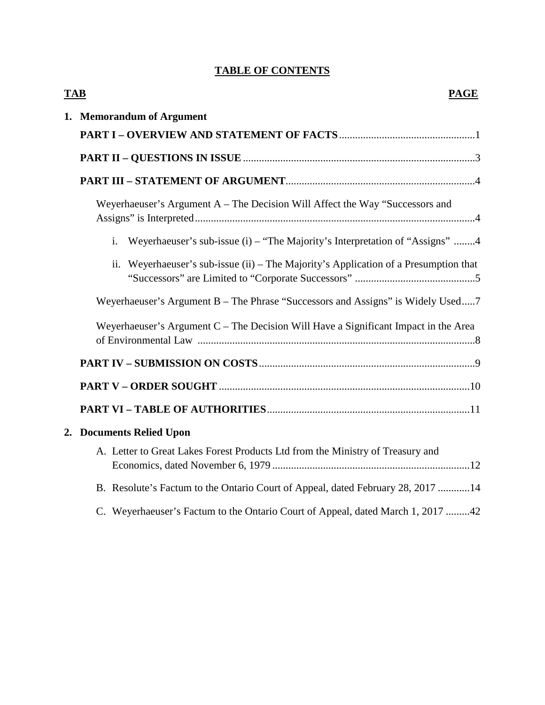# **TABLE OF CONTENTS**

|  | <b>TAB</b><br><b>PAGE</b>                                                            |
|--|--------------------------------------------------------------------------------------|
|  | 1. Memorandum of Argument                                                            |
|  |                                                                                      |
|  |                                                                                      |
|  | Weyerhaeuser's Argument A – The Decision Will Affect the Way "Successors and         |
|  | Weyerhaeuser's sub-issue (i) – "The Majority's Interpretation of "Assigns" 4<br>i.   |
|  | ii. Weyerhaeuser's sub-issue (ii) – The Majority's Application of a Presumption that |
|  | Weyerhaeuser's Argument B – The Phrase "Successors and Assigns" is Widely Used7      |
|  | Weyerhaeuser's Argument C - The Decision Will Have a Significant Impact in the Area  |
|  |                                                                                      |
|  |                                                                                      |
|  |                                                                                      |
|  | 2. Documents Relied Upon                                                             |
|  | A. Letter to Great Lakes Forest Products Ltd from the Ministry of Treasury and       |
|  | B. Resolute's Factum to the Ontario Court of Appeal, dated February 28, 2017 14      |
|  | C. Weyerhaeuser's Factum to the Ontario Court of Appeal, dated March 1, 2017 42      |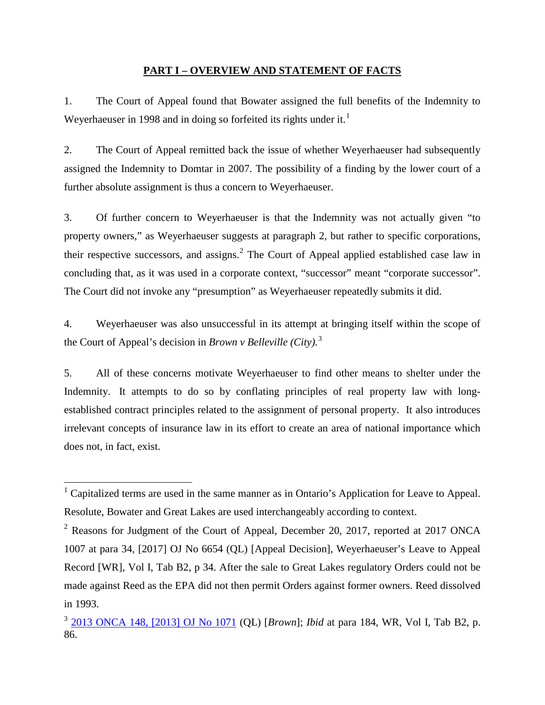#### **PART I – OVERVIEW AND STATEMENT OF FACTS**

1. The Court of Appeal found that Bowater assigned the full benefits of the Indemnity to Weyerhaeuser in [1](#page-3-0)998 and in doing so forfeited its rights under it.<sup>1</sup>

2. The Court of Appeal remitted back the issue of whether Weyerhaeuser had subsequently assigned the Indemnity to Domtar in 2007. The possibility of a finding by the lower court of a further absolute assignment is thus a concern to Weyerhaeuser.

3. Of further concern to Weyerhaeuser is that the Indemnity was not actually given "to property owners," as Weyerhaeuser suggests at paragraph 2, but rather to specific corporations, their respective successors, and assigns.[2](#page-3-1) The Court of Appeal applied established case law in concluding that, as it was used in a corporate context, "successor" meant "corporate successor". The Court did not invoke any "presumption" as Weyerhaeuser repeatedly submits it did.

4. Weyerhaeuser was also unsuccessful in its attempt at bringing itself within the scope of the Court of Appeal's decision in *Brown v Belleville (City).* [3](#page-3-2)

5. All of these concerns motivate Weyerhaeuser to find other means to shelter under the Indemnity. It attempts to do so by conflating principles of real property law with longestablished contract principles related to the assignment of personal property. It also introduces irrelevant concepts of insurance law in its effort to create an area of national importance which does not, in fact, exist.

<span id="page-3-0"></span><sup>&</sup>lt;sup>1</sup> Capitalized terms are used in the same manner as in Ontario's Application for Leave to Appeal. Resolute, Bowater and Great Lakes are used interchangeably according to context.

<span id="page-3-1"></span> $2$  Reasons for Judgment of the Court of Appeal, December 20, 2017, reported at 2017 ONCA 1007 at para 34, [2017] OJ No 6654 (QL) [Appeal Decision], Weyerhaeuser's Leave to Appeal Record [WR], Vol I, Tab B2, p 34. After the sale to Great Lakes regulatory Orders could not be made against Reed as the EPA did not then permit Orders against former owners. Reed dissolved in 1993.

<span id="page-3-2"></span><sup>3</sup> [2013 ONCA 148, \[2013\] OJ No 1071](https://www.canlii.org/en/on/onca/doc/2013/2013onca148/2013onca148.html?autocompleteStr=2013%20ONCA%20148&autocompletePos=1) (QL) [*Brown*]; *Ibid* at para 184, WR, Vol I, Tab B2, p. 86.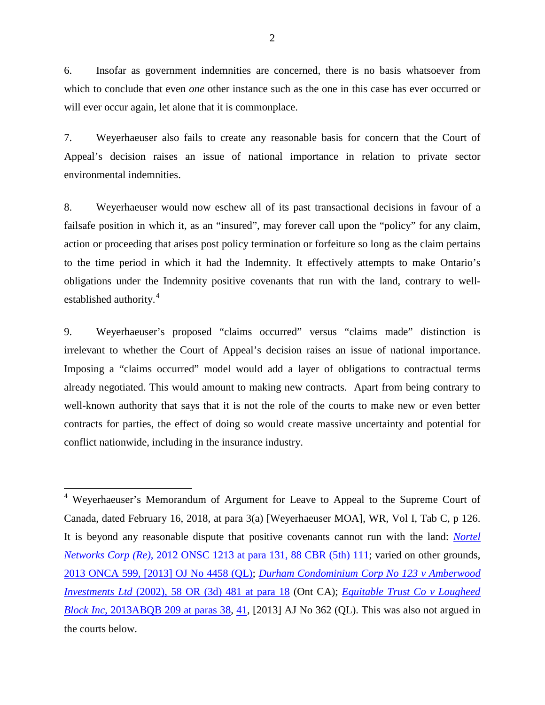6. Insofar as government indemnities are concerned, there is no basis whatsoever from which to conclude that even *one* other instance such as the one in this case has ever occurred or will ever occur again, let alone that it is commonplace.

7. Weyerhaeuser also fails to create any reasonable basis for concern that the Court of Appeal's decision raises an issue of national importance in relation to private sector environmental indemnities.

8. Weyerhaeuser would now eschew all of its past transactional decisions in favour of a failsafe position in which it, as an "insured", may forever call upon the "policy" for any claim, action or proceeding that arises post policy termination or forfeiture so long as the claim pertains to the time period in which it had the Indemnity. It effectively attempts to make Ontario's obligations under the Indemnity positive covenants that run with the land, contrary to well-established authority.<sup>[4](#page-4-0)</sup>

9. Weyerhaeuser's proposed "claims occurred" versus "claims made" distinction is irrelevant to whether the Court of Appeal's decision raises an issue of national importance. Imposing a "claims occurred" model would add a layer of obligations to contractual terms already negotiated. This would amount to making new contracts. Apart from being contrary to well-known authority that says that it is not the role of the courts to make new or even better contracts for parties, the effect of doing so would create massive uncertainty and potential for conflict nationwide, including in the insurance industry.

<span id="page-4-0"></span> <sup>4</sup> Weyerhaeuser's Memorandum of Argument for Leave to Appeal to the Supreme Court of Canada, dated February 16, 2018, at para 3(a) [Weyerhaeuser MOA], WR, Vol I, Tab C, p 126. It is beyond any reasonable dispute that positive covenants cannot run with the land: *[Nortel](https://www.canlii.org/en/on/onsc/doc/2012/2012onsc1213/2012onsc1213.html#par131)  Networks Corp (Re), 2012 ONSC [1213 at para 131, 88 CBR \(5th\) 111;](https://www.canlii.org/en/on/onsc/doc/2012/2012onsc1213/2012onsc1213.html#par131) varied on other grounds,* [2013 ONCA 599, \[2013\] OJ No 4458 \(QL\);](https://www.canlii.org/en/on/onca/doc/2013/2013onca599/2013onca599.html?resultIndex=1) *[Durham Condominium Corp No 123 v Amberwood](https://www.canlii.org/en/on/onca/doc/2002/2002canlii44913/2002canlii44913.html#par18)  Investments Ltd* [\(2002\), 58 OR \(3d\) 481 at para 18](https://www.canlii.org/en/on/onca/doc/2002/2002canlii44913/2002canlii44913.html#par18) (Ont CA); *[Equitable Trust Co v Lougheed](https://www.canlii.org/en/ab/abqb/doc/2013/2013abqb209/2013abqb209.html#par38)  Block Inc*[, 2013ABQB 209 at paras 38,](https://www.canlii.org/en/ab/abqb/doc/2013/2013abqb209/2013abqb209.html#par38) [41](https://www.canlii.org/en/ab/abqb/doc/2013/2013abqb209/2013abqb209.html#par41)*,* [2013] AJ No 362 (QL). This was also not argued in the courts below.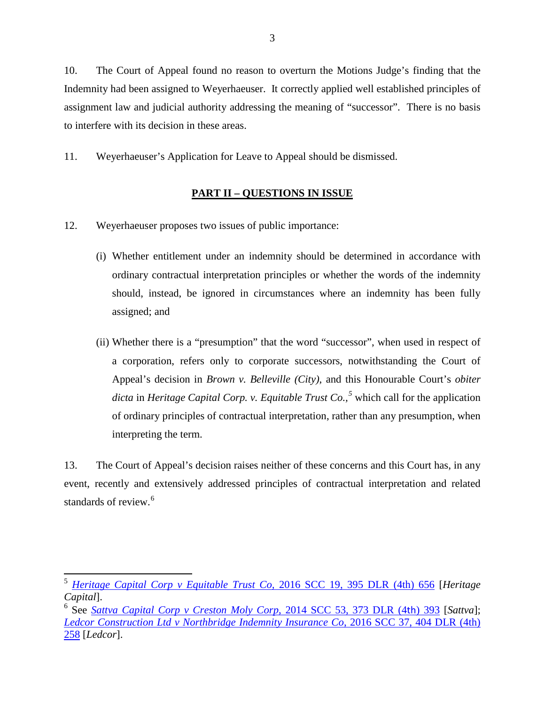10. The Court of Appeal found no reason to overturn the Motions Judge's finding that the Indemnity had been assigned to Weyerhaeuser. It correctly applied well established principles of assignment law and judicial authority addressing the meaning of "successor". There is no basis to interfere with its decision in these areas.

11. Weyerhaeuser's Application for Leave to Appeal should be dismissed.

## **PART II – QUESTIONS IN ISSUE**

- 12. Weyerhaeuser proposes two issues of public importance:
	- (i) Whether entitlement under an indemnity should be determined in accordance with ordinary contractual interpretation principles or whether the words of the indemnity should, instead, be ignored in circumstances where an indemnity has been fully assigned; and
	- (ii) Whether there is a "presumption" that the word "successor", when used in respect of a corporation, refers only to corporate successors, notwithstanding the Court of Appeal's decision in *Brown v. Belleville (City)*, and this Honourable Court's *obiter dicta* in *Heritage Capital Corp. v. Equitable Trust Co.,[5](#page-5-0)* which call for the application of ordinary principles of contractual interpretation, rather than any presumption, when interpreting the term.

13. The Court of Appeal's decision raises neither of these concerns and this Court has, in any event, recently and extensively addressed principles of contractual interpretation and related standards of review.<sup>[6](#page-5-1)</sup>

<span id="page-5-0"></span><sup>5</sup> *[Heritage Capital Corp v Equitable Trust Co,](https://www.canlii.org/en/ca/scc/doc/2016/2016scc19/2016scc19.html?autocompleteStr=2016%20SCC%2019&autocompletePos=1)* 2016 SCC 19, 395 DLR (4th) 656 [*Heritage Capital*].

<span id="page-5-1"></span><sup>6</sup> See *Sattva [Capital Corp v Creston Moly Corp](https://www.canlii.org/en/ca/scc/doc/2014/2014scc53/2014scc53.html?resultIndex=1)*, 2014 SCC 53, 373 DLR (4th) 393 [*Sattva*]; *[Ledcor Construction Ltd v Northbridge Indemnity Insurance Co](https://www.canlii.org/en/ca/scc/doc/2016/2016scc37/2016scc37.html?resultIndex=1)*, 2016 SCC 37, 404 DLR (4th) [258](https://www.canlii.org/en/ca/scc/doc/2016/2016scc37/2016scc37.html?resultIndex=1) [*Ledcor*].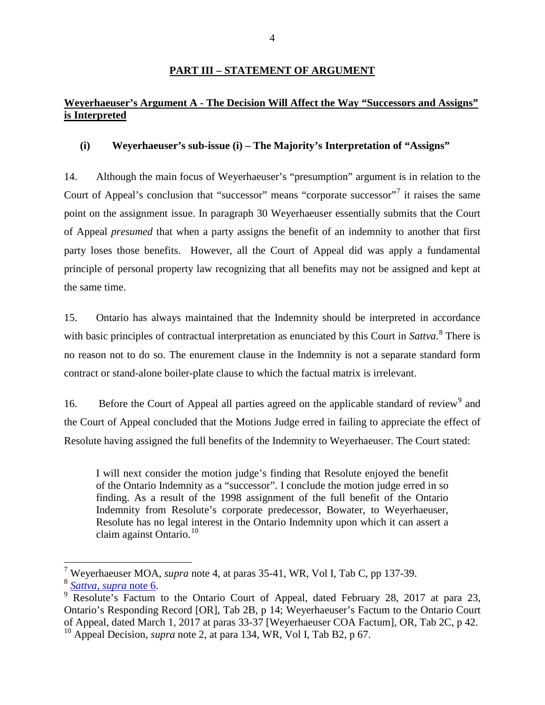#### **PART III – STATEMENT OF ARGUMENT**

## **Weyerhaeuser's Argument A - The Decision Will Affect the Way "Successors and Assigns" is Interpreted**

#### **(i) Weyerhaeuser's sub-issue (i) – The Majority's Interpretation of "Assigns"**

14. Although the main focus of Weyerhaeuser's "presumption" argument is in relation to the Court of Appeal's conclusion that "successor" means "corporate successor"<sup>[7](#page-6-0)</sup> it raises the same point on the assignment issue. In paragraph 30 Weyerhaeuser essentially submits that the Court of Appeal *presumed* that when a party assigns the benefit of an indemnity to another that first party loses those benefits. However, all the Court of Appeal did was apply a fundamental principle of personal property law recognizing that all benefits may not be assigned and kept at the same time.

15. Ontario has always maintained that the Indemnity should be interpreted in accordance with basic principles of contractual interpretation as enunciated by this Court in *Sattva*. [8](#page-6-1) There is no reason not to do so. The enurement clause in the Indemnity is not a separate standard form contract or stand-alone boiler-plate clause to which the factual matrix is irrelevant.

16. Before the Court of Appeal all parties agreed on the applicable standard of review<sup>[9](#page-6-2)</sup> and the Court of Appeal concluded that the Motions Judge erred in failing to appreciate the effect of Resolute having assigned the full benefits of the Indemnity to Weyerhaeuser. The Court stated:

I will next consider the motion judge's finding that Resolute enjoyed the benefit of the Ontario Indemnity as a "successor". I conclude the motion judge erred in so finding. As a result of the 1998 assignment of the full benefit of the Ontario Indemnity from Resolute's corporate predecessor, Bowater, to Weyerhaeuser, Resolute has no legal interest in the Ontario Indemnity upon which it can assert a claim against Ontario. $10$ 

<span id="page-6-2"></span>

<span id="page-6-1"></span><span id="page-6-0"></span><sup>&</sup>lt;sup>7</sup> Weyerhaeuser MOA, *supra* note 4, at paras 35-41, WR, Vol I, Tab C, pp 137-39.<br><sup>8</sup> *[Sattva](https://www.canlii.org/en/ca/scc/doc/2014/2014scc53/2014scc53.html?resultIndex=1)*, *supra* note 6.<br>9 Resolute's Factum to the Ontario Court of Appeal, dated February 28, 2017 at para 23, Ontario's Responding Record [OR], Tab 2B, p 14; Weyerhaeuser's Factum to the Ontario Court of Appeal, dated March 1, 2017 at paras 33-37 [Weyerhaeuser COA Factum], OR, Tab 2C, p 42. <sup>10</sup> Appeal Decision, *supra* note 2, at para 134, WR, Vol I, Tab B2, p 67.

<span id="page-6-3"></span>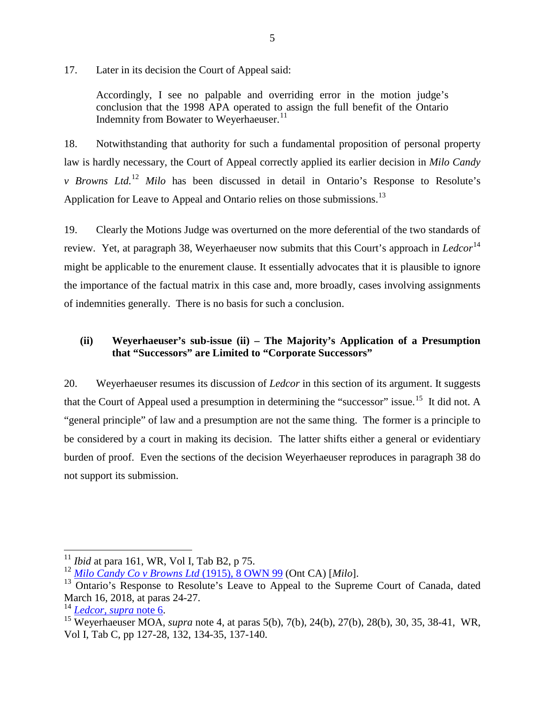17. Later in its decision the Court of Appeal said:

Accordingly, I see no palpable and overriding error in the motion judge's conclusion that the 1998 APA operated to assign the full benefit of the Ontario Indemnity from Bowater to Weverhaeuser.<sup>[11](#page-7-0)</sup>

18. Notwithstanding that authority for such a fundamental proposition of personal property law is hardly necessary, the Court of Appeal correctly applied its earlier decision in *Milo Candy v Browns Ltd.*[12](#page-7-1) *Milo* has been discussed in detail in Ontario's Response to Resolute's Application for Leave to Appeal and Ontario relies on those submissions.<sup>[13](#page-7-2)</sup>

19. Clearly the Motions Judge was overturned on the more deferential of the two standards of review. Yet, at paragraph 38, Weyerhaeuser now submits that this Court's approach in *Ledcor*<sup>[14](#page-7-3)</sup> might be applicable to the enurement clause. It essentially advocates that it is plausible to ignore the importance of the factual matrix in this case and, more broadly, cases involving assignments of indemnities generally. There is no basis for such a conclusion.

## **(ii) Weyerhaeuser's sub-issue (ii) – The Majority's Application of a Presumption that "Successors" are Limited to "Corporate Successors"**

20. Weyerhaeuser resumes its discussion of *Ledcor* in this section of its argument. It suggests that the Court of Appeal used a presumption in determining the "successor" issue.<sup>[15](#page-7-4)</sup> It did not. A "general principle" of law and a presumption are not the same thing. The former is a principle to be considered by a court in making its decision. The latter shifts either a general or evidentiary burden of proof. Even the sections of the decision Weyerhaeuser reproduces in paragraph 38 do not support its submission.

<span id="page-7-0"></span><sup>&</sup>lt;sup>11</sup> *Ibid* at para 161, WR, Vol I, Tab B2, p 75.<br><sup>12</sup> *[Milo Candy Co v Browns Ltd](https://advance.lexis.com/search/?pdmfid=1505209&crid=da05cf63-d2a1-44e7-85e0-883c0472308e&pdsearchterms=8+O.W.N.+99&pdicsfeatureid=1517129&pdstartin=hlct%3A1%3A11&pdtypeofsearch=searchboxclick&pdsearchtype=SearchBox&pdqttype=and&pdpsf=%3A%3A1&ecomp=48kt9kk&earg=pdpsf&prid=e43d5718-e2bf-459f-b77b-4d50ebedde2d)* (1915), 8 OWN 99 (Ont CA) [*Milo*].

<span id="page-7-2"></span><span id="page-7-1"></span><sup>&</sup>lt;sup>13</sup> Ontario's Response to Resolute's Leave to Appeal to the Supreme Court of Canada, dated March 16, 2018, at paras 24-27.

<span id="page-7-4"></span><span id="page-7-3"></span><sup>&</sup>lt;sup>14</sup> *[Ledcor, supra](https://www.canlii.org/en/ca/scc/doc/2016/2016scc37/2016scc37.html?autocompleteStr=2016%20SCC%2037&autocompletePos=1)* note 6.<br><sup>15</sup> Weyerhaeuser MOA, *supra* note 4, at paras 5(b), 7(b), 24(b), 27(b), 28(b), 30, 35, 38-41, WR, Vol I, Tab C, pp 127-28, 132, 134-35, 137-140.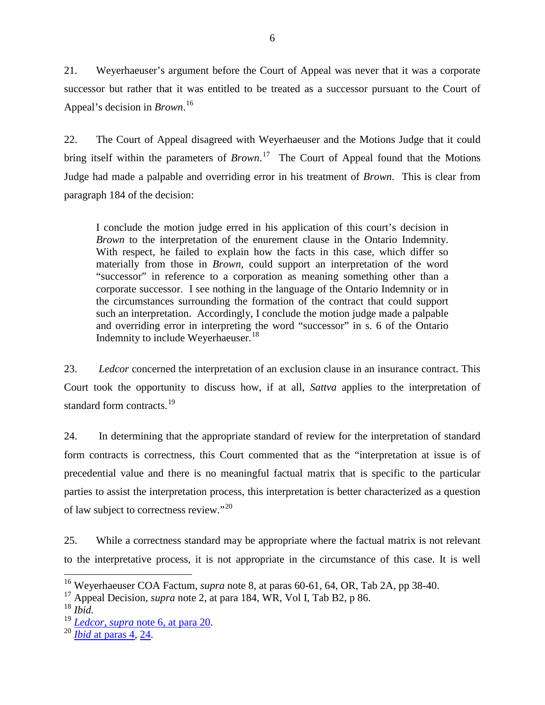21. Weyerhaeuser's argument before the Court of Appeal was never that it was a corporate successor but rather that it was entitled to be treated as a successor pursuant to the Court of Appeal's decision in *Brown*. [16](#page-8-0)

22. The Court of Appeal disagreed with Weyerhaeuser and the Motions Judge that it could bring itself within the parameters of *Brown*. [17](#page-8-1) The Court of Appeal found that the Motions Judge had made a palpable and overriding error in his treatment of *Brown*. This is clear from paragraph 184 of the decision:

I conclude the motion judge erred in his application of this court's decision in *Brown* to the interpretation of the enurement clause in the Ontario Indemnity. With respect, he failed to explain how the facts in this case, which differ so materially from those in *Brown*, could support an interpretation of the word "successor" in reference to a corporation as meaning something other than a corporate successor. I see nothing in the language of the Ontario Indemnity or in the circumstances surrounding the formation of the contract that could support such an interpretation. Accordingly, I conclude the motion judge made a palpable and overriding error in interpreting the word "successor" in s. 6 of the Ontario Indemnity to include Weyerhaeuser.<sup>[18](#page-8-2)</sup>

23. *Ledcor* concerned the interpretation of an exclusion clause in an insurance contract. This Court took the opportunity to discuss how, if at all, *Sattva* applies to the interpretation of standard form contracts.<sup>[19](#page-8-3)</sup>

24. In determining that the appropriate standard of review for the interpretation of standard form contracts is correctness, this Court commented that as the "interpretation at issue is of precedential value and there is no meaningful factual matrix that is specific to the particular parties to assist the interpretation process, this interpretation is better characterized as a question of law subject to correctness review."<sup>[20](#page-8-4)</sup>

25. While a correctness standard may be appropriate where the factual matrix is not relevant to the interpretative process, it is not appropriate in the circumstance of this case. It is well

<span id="page-8-0"></span><sup>&</sup>lt;sup>16</sup> Weyerhaeuser COA Factum, *supra* note 8, at paras 60-61, 64, OR, Tab 2A, pp 38-40.<br><sup>17</sup> Appeal Decision, *supra* note 2, at para 184, WR, Vol I, Tab B2, p 86.

<span id="page-8-1"></span>

<span id="page-8-2"></span><sup>18</sup> *Ibid.*

<span id="page-8-3"></span><sup>19</sup> *[Ledcor, supra](https://www.canlii.org/en/ca/scc/doc/2016/2016scc37/2016scc37.html#par20)* note 6, at para 20. <sup>20</sup> *Ibid* [at paras](https://www.canlii.org/en/ca/scc/doc/2016/2016scc37/2016scc37.html#par4) 4, [24.](https://www.canlii.org/en/ca/scc/doc/2016/2016scc37/2016scc37.html#par24)

<span id="page-8-4"></span>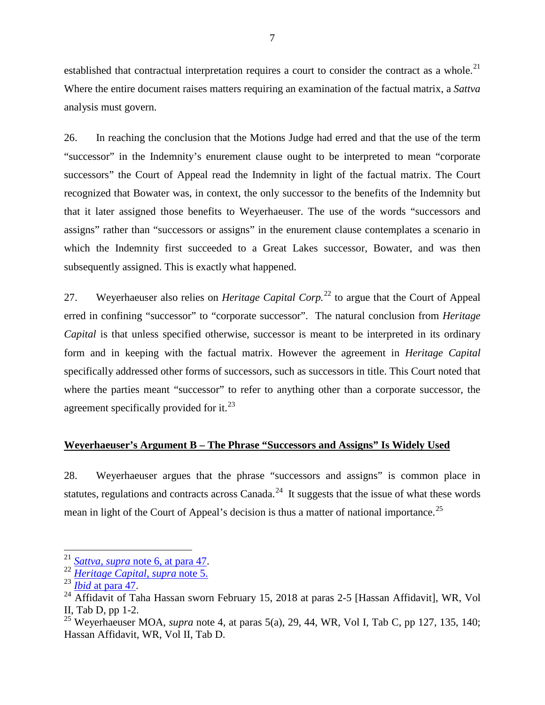established that contractual interpretation requires a court to consider the contract as a whole.<sup>[21](#page-9-0)</sup> Where the entire document raises matters requiring an examination of the factual matrix, a *Sattva* analysis must govern.

26. In reaching the conclusion that the Motions Judge had erred and that the use of the term "successor" in the Indemnity's enurement clause ought to be interpreted to mean "corporate successors" the Court of Appeal read the Indemnity in light of the factual matrix. The Court recognized that Bowater was, in context, the only successor to the benefits of the Indemnity but that it later assigned those benefits to Weyerhaeuser. The use of the words "successors and assigns" rather than "successors or assigns" in the enurement clause contemplates a scenario in which the Indemnity first succeeded to a Great Lakes successor, Bowater, and was then subsequently assigned. This is exactly what happened.

27. Weyerhaeuser also relies on *Heritage Capital Corp*.<sup>[22](#page-9-1)</sup> to argue that the Court of Appeal erred in confining "successor" to "corporate successor". The natural conclusion from *Heritage Capital* is that unless specified otherwise, successor is meant to be interpreted in its ordinary form and in keeping with the factual matrix. However the agreement in *Heritage Capital* specifically addressed other forms of successors, such as successors in title. This Court noted that where the parties meant "successor" to refer to anything other than a corporate successor, the agreement specifically provided for it.<sup>[23](#page-9-2)</sup>

### **Weyerhaeuser's Argument B – The Phrase "Successors and Assigns" Is Widely Used**

28. Weyerhaeuser argues that the phrase "successors and assigns" is common place in statutes, regulations and contracts across Canada. $^{24}$  It suggests that the issue of what these words mean in light of the Court of Appeal's decision is thus a matter of national importance.<sup>[25](#page-9-4)</sup>

<span id="page-9-0"></span><sup>21</sup> *Sattva, supra* [note 6, at para 47.](https://www.canlii.org/en/ca/scc/doc/2014/2014scc53/2014scc53.html#par47) <sup>22</sup> *[Heritage Capital](https://www.canlii.org/en/ca/scc/doc/2016/2016scc19/2016scc19.html?autocompleteStr=2016%20SCC%2019&autocompletePos=1)*, *supra* note 5.

<span id="page-9-1"></span>

<span id="page-9-3"></span><span id="page-9-2"></span><sup>&</sup>lt;sup>24</sup> Affidavit of Taha Hassan sworn February 15, 2018 at paras 2-5 [Hassan Affidavit], WR, Vol II, Tab D, pp 1-2. <sup>25</sup> Weyerhaeuser MOA, *supra* note 4, at paras 5(a), 29, 44, WR, Vol I, Tab C, pp 127, 135, 140;

<span id="page-9-4"></span>Hassan Affidavit, WR, Vol II, Tab D.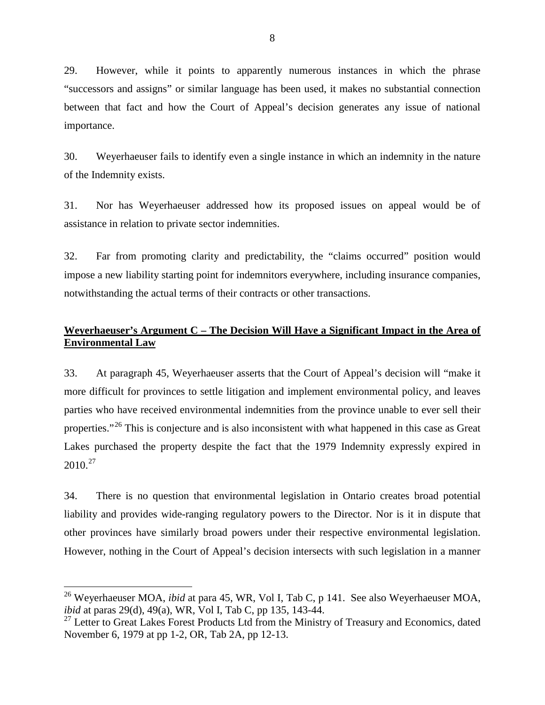29. However, while it points to apparently numerous instances in which the phrase "successors and assigns" or similar language has been used, it makes no substantial connection between that fact and how the Court of Appeal's decision generates any issue of national importance.

30. Weyerhaeuser fails to identify even a single instance in which an indemnity in the nature of the Indemnity exists.

31. Nor has Weyerhaeuser addressed how its proposed issues on appeal would be of assistance in relation to private sector indemnities.

32. Far from promoting clarity and predictability, the "claims occurred" position would impose a new liability starting point for indemnitors everywhere, including insurance companies, notwithstanding the actual terms of their contracts or other transactions.

## **Weyerhaeuser's Argument C – The Decision Will Have a Significant Impact in the Area of Environmental Law**

33. At paragraph 45, Weyerhaeuser asserts that the Court of Appeal's decision will "make it more difficult for provinces to settle litigation and implement environmental policy, and leaves parties who have received environmental indemnities from the province unable to ever sell their properties."<sup>[26](#page-10-0)</sup> This is conjecture and is also inconsistent with what happened in this case as Great Lakes purchased the property despite the fact that the 1979 Indemnity expressly expired in  $2010.<sup>27</sup>$ 

34. There is no question that environmental legislation in Ontario creates broad potential liability and provides wide-ranging regulatory powers to the Director. Nor is it in dispute that other provinces have similarly broad powers under their respective environmental legislation. However, nothing in the Court of Appeal's decision intersects with such legislation in a manner

<span id="page-10-0"></span><sup>&</sup>lt;sup>26</sup> Weyerhaeuser MOA, *ibid* at para 45, WR, Vol I, Tab C, p 141. See also Weyerhaeuser MOA, *ibid* at paras 29(d), 49(a), WR, Vol I, Tab C, pp 135, 143-44.

<span id="page-10-1"></span><sup>&</sup>lt;sup>27</sup> Letter to Great Lakes Forest Products Ltd from the Ministry of Treasury and Economics, dated November 6, 1979 at pp 1-2, OR, Tab 2A, pp 12-13.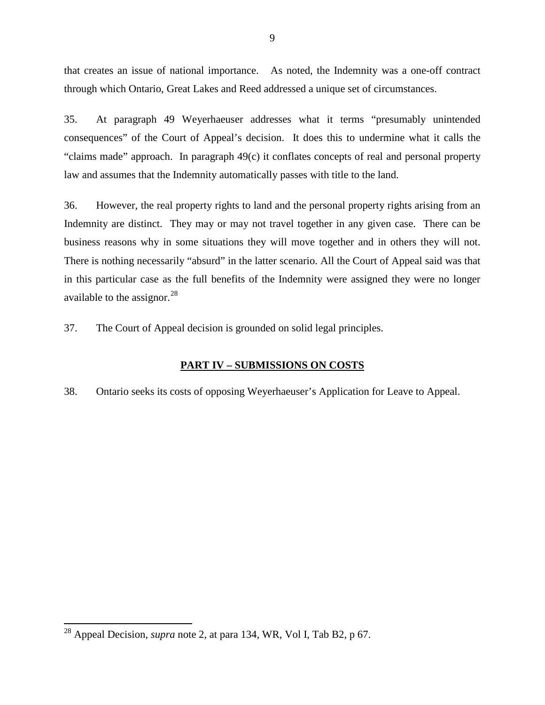that creates an issue of national importance. As noted, the Indemnity was a one-off contract through which Ontario, Great Lakes and Reed addressed a unique set of circumstances.

35. At paragraph 49 Weyerhaeuser addresses what it terms "presumably unintended consequences" of the Court of Appeal's decision. It does this to undermine what it calls the "claims made" approach. In paragraph 49(c) it conflates concepts of real and personal property law and assumes that the Indemnity automatically passes with title to the land.

36. However, the real property rights to land and the personal property rights arising from an Indemnity are distinct. They may or may not travel together in any given case. There can be business reasons why in some situations they will move together and in others they will not. There is nothing necessarily "absurd" in the latter scenario. All the Court of Appeal said was that in this particular case as the full benefits of the Indemnity were assigned they were no longer available to the assignor. $^{28}$  $^{28}$  $^{28}$ 

37. The Court of Appeal decision is grounded on solid legal principles.

### **PART IV – SUBMISSIONS ON COSTS**

38. Ontario seeks its costs of opposing Weyerhaeuser's Application for Leave to Appeal.

<span id="page-11-0"></span><sup>28</sup> Appeal Decision, *supra* note 2, at para 134, WR, Vol I, Tab B2, p 67.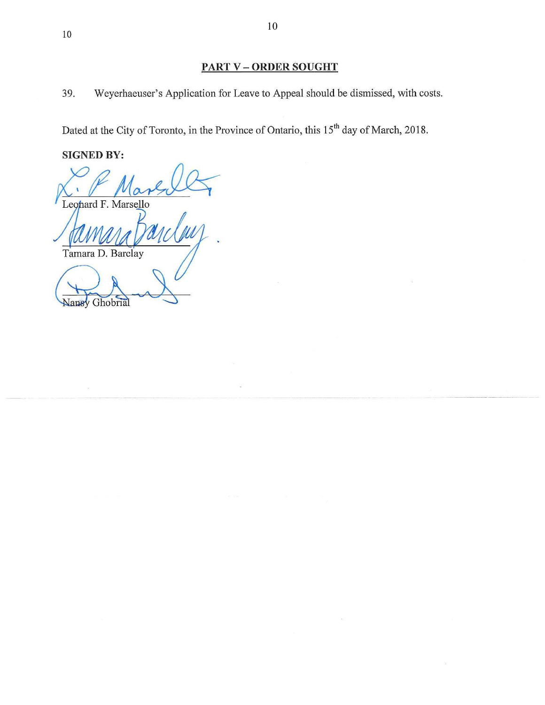39. Weyerhaeuser's Application for Leave to Appeal should be dismissed, with costs.

Dated at the City of Toronto, in the Province of Ontario, this 15<sup>th</sup> day of March, 2018.

**SIGNED BY:** 

Nansy Ghobrial

Leonard F. Marsello Tamara D. Barclay